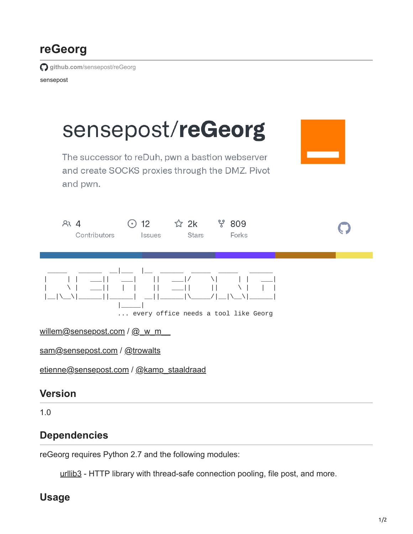# **reGeorg**

**github.com**[/sensepost/reGeorg](https://github.com/sensepost/reGeorg)

sensepost



## **Dependencies**

reGeorg requires Python 2.7 and the following modules:

urllib<sub>3</sub> - HTTP library with thread-safe connection pooling, file post, and more.

## **Usage**